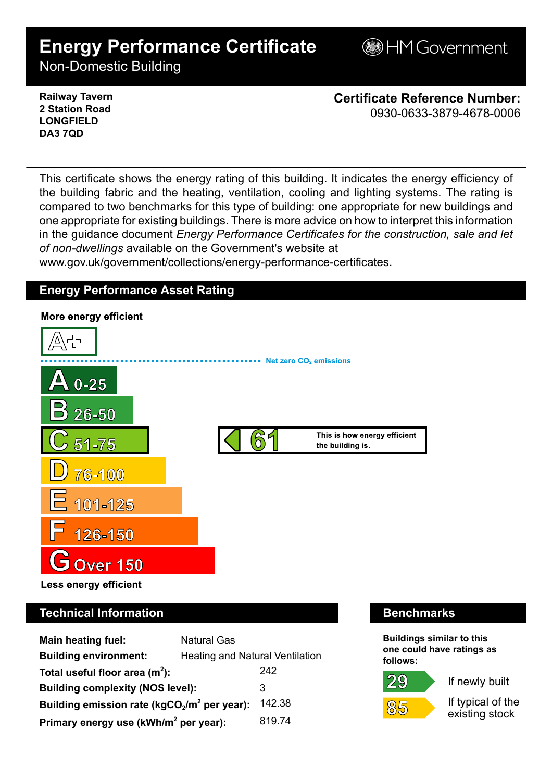# **Energy Performance Certificate**

**B**HM Government

Non-Domestic Building

### **Railway Tavern 2 Station Road LONGFIELD DA3 7QD**

**Certificate Reference Number:** 0930-0633-3879-4678-0006

This certificate shows the energy rating of this building. It indicates the energy efficiency of the building fabric and the heating, ventilation, cooling and lighting systems. The rating is compared to two benchmarks for this type of building: one appropriate for new buildings and one appropriate for existing buildings. There is more advice on how to interpret this information in the guidance document *Energy Performance Certificates for the construction, sale and let of non-dwellings* available on the Government's website at

www.gov.uk/government/collections/energy-performance-certificates.

# **Energy Performance Asset Rating**



# **Technical Information Benchmarks**

| <b>Main heating fuel:</b>                                | <b>Natural Gas</b>                     |        |
|----------------------------------------------------------|----------------------------------------|--------|
| <b>Building environment:</b>                             | <b>Heating and Natural Ventilation</b> |        |
| Total useful floor area $(m2)$ :                         |                                        | 242    |
| <b>Building complexity (NOS level):</b>                  |                                        | 3      |
| 142.38<br>Building emission rate ( $kgCO2/m2$ per year): |                                        |        |
| Primary energy use (kWh/m <sup>2</sup> per year):        |                                        | 819.74 |

**Buildings similar to this one could have ratings as follows:**

29



If newly built

If typical of the existing stock